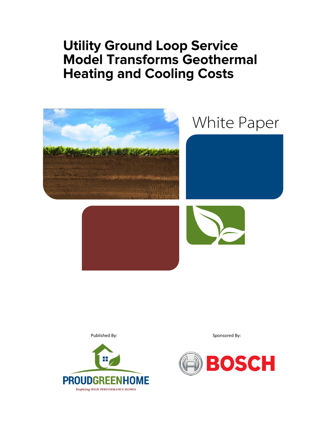# **Utility Ground Loop Service Model Transforms Geothermal Heating and Cooling Costs**





Published By: Sponsored By:

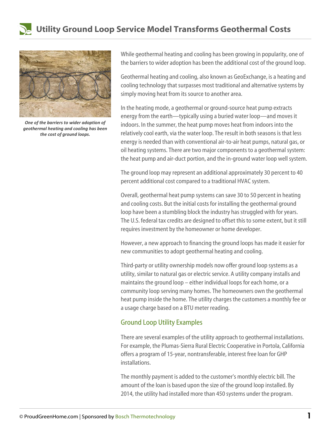



*One of the barriers to wider adoption of geothermal heating and cooling has been the cost of ground loops.*

While geothermal heating and cooling has been growing in popularity, one of the barriers to wider adoption has been the additional cost of the ground loop.

Geothermal heating and cooling, also known as GeoExchange, is a heating and cooling technology that surpasses most traditional and alternative systems by simply moving heat from its source to another area.

In the heating mode, a geothermal or ground-source heat pump extracts energy from the earth—typically using a buried water loop—and moves it indoors. In the summer, the heat pump moves heat from indoors into the relatively cool earth, via the water loop. The result in both seasons is that less energy is needed than with conventional air-to-air heat pumps, natural gas, or oil heating systems. There are two major components to a geothermal system: the heat pump and air-duct portion, and the in-ground water loop well system.

The ground loop may represent an additional approximately 30 percent to 40 percent additional cost compared to a traditional HVAC system.

Overall, geothermal heat pump systems can save 30 to 50 percent in heating and cooling costs. But the initial costs for installing the geothermal ground loop have been a stumbling block the industry has struggled with for years. The U.S. federal tax credits are designed to offset this to some extent, but it still requires investment by the homeowner or home developer.

However, a new approach to financing the ground loops has made it easier for new communities to adopt geothermal heating and cooling.

Third-party or utility ownership models now offer ground loop systems as a utility, similar to natural gas or electric service. A utility company installs and maintains the ground loop – either individual loops for each home, or a community loop serving many homes. The homeowners own the geothermal heat pump inside the home. The utility charges the customers a monthly fee or a usage charge based on a BTU meter reading.

## Ground Loop Utility Examples

There are several examples of the utility approach to geothermal installations. For example, the Plumas-Sierra Rural Electric Cooperative in Portola, California offers a program of 15-year, nontransferable, interest free loan for GHP installations.

The monthly payment is added to the customer's monthly electric bill. The amount of the loan is based upon the size of the ground loop installed. By 2014, the utility had installed more than 450 systems under the program.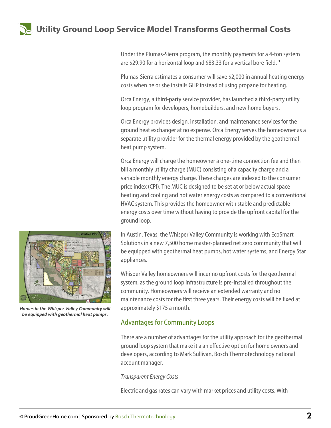

Under the Plumas-Sierra program, the monthly payments for a 4-ton system are \$29.90 for a horizontal loop and \$83.33 for a vertical bore field.<sup>1</sup>

Plumas-Sierra estimates a consumer will save \$2,000 in annual heating energy costs when he or she installs GHP instead of using propane for heating.

Orca Energy, a third-party service provider, has launched a third-party utility loop program for developers, homebuilders, and new home buyers.

Orca Energy provides design, installation, and maintenance services for the ground heat exchanger at no expense. Orca Energy serves the homeowner as a separate utility provider for the thermal energy provided by the geothermal heat pump system.

Orca Energy will charge the homeowner a one-time connection fee and then bill a monthly utility charge (MUC) consisting of a capacity charge and a variable monthly energy charge. These charges are indexed to the consumer price index (CPI). The MUC is designed to be set at or below actual space heating and cooling and hot water energy costs as compared to a conventional HVAC system. This provides the homeowner with stable and predictable energy costs over time without having to provide the upfront capital for the ground loop.

In Austin, Texas, the Whisper Valley Community is working with EcoSmart Solutions in a new 7,500 home master-planned net zero community that will be equipped with geothermal heat pumps, hot water systems, and Energy Star appliances.

Whisper Valley homeowners will incur no upfront costs for the geothermal system, as the ground loop infrastructure is pre-installed throughout the community. Homeowners will receive an extended warranty and no maintenance costs for the first three years. Their energy costs will be fixed at approximately \$175 a month.

## Advantages for Community Loops

There are a number of advantages for the utility approach for the geothermal ground loop system that make it a an effective option for home owners and developers, according to Mark Sullivan, Bosch Thermotechnology national account manager.

### *Transparent Energy Costs*

Electric and gas rates can vary with market prices and utility costs. With



*Homes in the Whisper Valley Community will be equipped with geothermal heat pumps.*